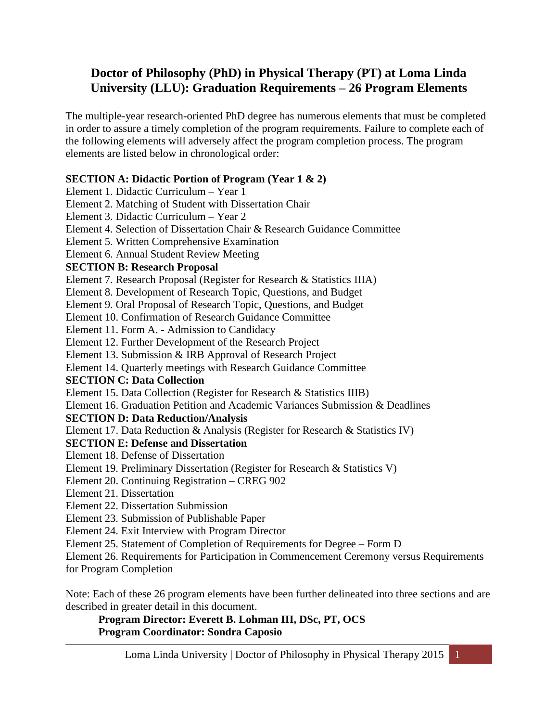# **Doctor of Philosophy (PhD) in Physical Therapy (PT) at Loma Linda University (LLU): Graduation Requirements – 26 Program Elements**

The multiple-year research-oriented PhD degree has numerous elements that must be completed in order to assure a timely completion of the program requirements. Failure to complete each of the following elements will adversely affect the program completion process. The program elements are listed below in chronological order:

## **SECTION A: Didactic Portion of Program (Year 1 & 2)**

Element 1. Didactic Curriculum – Year 1

Element 2. Matching of Student with Dissertation Chair

Element 3. Didactic Curriculum – Year 2

Element 4. Selection of Dissertation Chair & Research Guidance Committee

Element 5. Written Comprehensive Examination

Element 6. Annual Student Review Meeting

### **SECTION B: Research Proposal**

Element 7. Research Proposal (Register for Research & Statistics IIIA)

Element 8. Development of Research Topic, Questions, and Budget

Element 9. Oral Proposal of Research Topic, Questions, and Budget

Element 10. Confirmation of Research Guidance Committee

Element 11. Form A. - Admission to Candidacy

Element 12. Further Development of the Research Project

Element 13. Submission & IRB Approval of Research Project

Element 14. Quarterly meetings with Research Guidance Committee

## **SECTION C: Data Collection**

Element 15. Data Collection (Register for Research & Statistics IIIB)

Element 16. Graduation Petition and Academic Variances Submission & Deadlines

## **SECTION D: Data Reduction/Analysis**

Element 17. Data Reduction & Analysis (Register for Research & Statistics IV)

## **SECTION E: Defense and Dissertation**

- Element 18. Defense of Dissertation
- Element 19. Preliminary Dissertation (Register for Research & Statistics V)
- Element 20. Continuing Registration CREG 902
- Element 21. Dissertation
- Element 22. Dissertation Submission
- Element 23. Submission of Publishable Paper
- Element 24. Exit Interview with Program Director

Element 25. Statement of Completion of Requirements for Degree – Form D

Element 26. Requirements for Participation in Commencement Ceremony versus Requirements for Program Completion

Note: Each of these 26 program elements have been further delineated into three sections and are described in greater detail in this document.

**Program Director: Everett B. Lohman III, DSc, PT, OCS Program Coordinator: Sondra Caposio**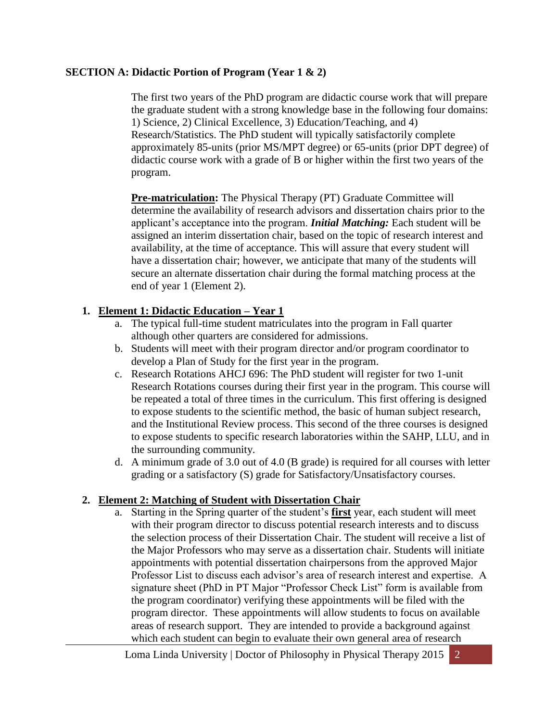### **SECTION A: Didactic Portion of Program (Year 1 & 2)**

The first two years of the PhD program are didactic course work that will prepare the graduate student with a strong knowledge base in the following four domains: 1) Science, 2) Clinical Excellence, 3) Education/Teaching, and 4) Research/Statistics. The PhD student will typically satisfactorily complete approximately 85-units (prior MS/MPT degree) or 65-units (prior DPT degree) of didactic course work with a grade of B or higher within the first two years of the program.

**Pre-matriculation:** The Physical Therapy (PT) Graduate Committee will determine the availability of research advisors and dissertation chairs prior to the applicant's acceptance into the program. *Initial Matching:* Each student will be assigned an interim dissertation chair, based on the topic of research interest and availability, at the time of acceptance. This will assure that every student will have a dissertation chair; however, we anticipate that many of the students will secure an alternate dissertation chair during the formal matching process at the end of year 1 (Element 2).

## **1. Element 1: Didactic Education – Year 1**

- a. The typical full-time student matriculates into the program in Fall quarter although other quarters are considered for admissions.
- b. Students will meet with their program director and/or program coordinator to develop a Plan of Study for the first year in the program.
- c. Research Rotations AHCJ 696: The PhD student will register for two 1-unit Research Rotations courses during their first year in the program. This course will be repeated a total of three times in the curriculum. This first offering is designed to expose students to the scientific method, the basic of human subject research, and the Institutional Review process. This second of the three courses is designed to expose students to specific research laboratories within the SAHP, LLU, and in the surrounding community.
- d. A minimum grade of 3.0 out of 4.0 (B grade) is required for all courses with letter grading or a satisfactory (S) grade for Satisfactory/Unsatisfactory courses.

## **2. Element 2: Matching of Student with Dissertation Chair**

a. Starting in the Spring quarter of the student's **first** year, each student will meet with their program director to discuss potential research interests and to discuss the selection process of their Dissertation Chair. The student will receive a list of the Major Professors who may serve as a dissertation chair. Students will initiate appointments with potential dissertation chairpersons from the approved Major Professor List to discuss each advisor's area of research interest and expertise. A signature sheet (PhD in PT Major "Professor Check List" form is available from the program coordinator) verifying these appointments will be filed with the program director. These appointments will allow students to focus on available areas of research support. They are intended to provide a background against which each student can begin to evaluate their own general area of research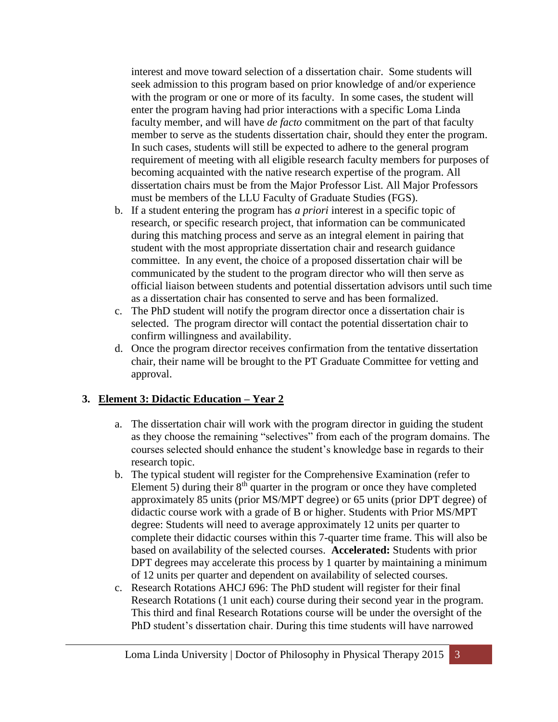interest and move toward selection of a dissertation chair. Some students will seek admission to this program based on prior knowledge of and/or experience with the program or one or more of its faculty. In some cases, the student will enter the program having had prior interactions with a specific Loma Linda faculty member, and will have *de facto* commitment on the part of that faculty member to serve as the students dissertation chair, should they enter the program. In such cases, students will still be expected to adhere to the general program requirement of meeting with all eligible research faculty members for purposes of becoming acquainted with the native research expertise of the program. All dissertation chairs must be from the Major Professor List. All Major Professors must be members of the LLU Faculty of Graduate Studies (FGS).

- b. If a student entering the program has *a priori* interest in a specific topic of research, or specific research project, that information can be communicated during this matching process and serve as an integral element in pairing that student with the most appropriate dissertation chair and research guidance committee. In any event, the choice of a proposed dissertation chair will be communicated by the student to the program director who will then serve as official liaison between students and potential dissertation advisors until such time as a dissertation chair has consented to serve and has been formalized.
- c. The PhD student will notify the program director once a dissertation chair is selected. The program director will contact the potential dissertation chair to confirm willingness and availability.
- d. Once the program director receives confirmation from the tentative dissertation chair, their name will be brought to the PT Graduate Committee for vetting and approval.

## **3. Element 3: Didactic Education – Year 2**

- a. The dissertation chair will work with the program director in guiding the student as they choose the remaining "selectives" from each of the program domains. The courses selected should enhance the student's knowledge base in regards to their research topic.
- b. The typical student will register for the Comprehensive Examination (refer to Element 5) during their  $8<sup>th</sup>$  quarter in the program or once they have completed approximately 85 units (prior MS/MPT degree) or 65 units (prior DPT degree) of didactic course work with a grade of B or higher. Students with Prior MS/MPT degree: Students will need to average approximately 12 units per quarter to complete their didactic courses within this 7-quarter time frame. This will also be based on availability of the selected courses. **Accelerated:** Students with prior DPT degrees may accelerate this process by 1 quarter by maintaining a minimum of 12 units per quarter and dependent on availability of selected courses.
- c. Research Rotations AHCJ 696: The PhD student will register for their final Research Rotations (1 unit each) course during their second year in the program. This third and final Research Rotations course will be under the oversight of the PhD student's dissertation chair. During this time students will have narrowed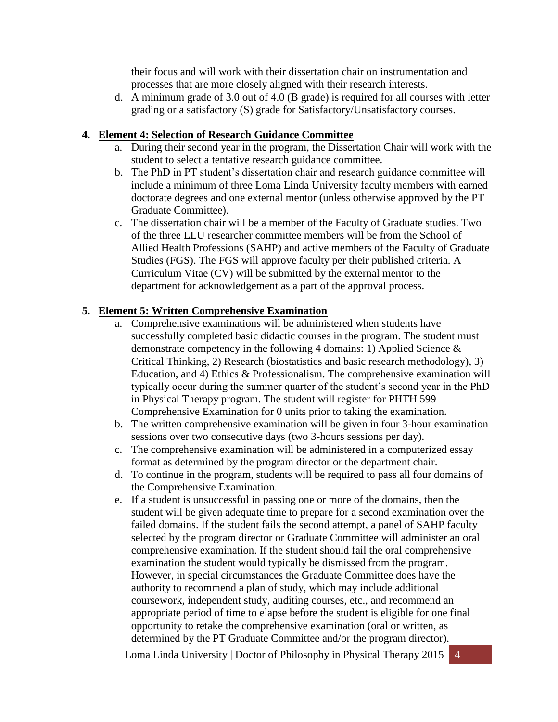their focus and will work with their dissertation chair on instrumentation and processes that are more closely aligned with their research interests.

d. A minimum grade of 3.0 out of 4.0 (B grade) is required for all courses with letter grading or a satisfactory (S) grade for Satisfactory/Unsatisfactory courses.

### **4. Element 4: Selection of Research Guidance Committee**

- a. During their second year in the program, the Dissertation Chair will work with the student to select a tentative research guidance committee.
- b. The PhD in PT student's dissertation chair and research guidance committee will include a minimum of three Loma Linda University faculty members with earned doctorate degrees and one external mentor (unless otherwise approved by the PT Graduate Committee).
- c. The dissertation chair will be a member of the Faculty of Graduate studies. Two of the three LLU researcher committee members will be from the School of Allied Health Professions (SAHP) and active members of the Faculty of Graduate Studies (FGS). The FGS will approve faculty per their published criteria. A Curriculum Vitae (CV) will be submitted by the external mentor to the department for acknowledgement as a part of the approval process.

## **5. Element 5: Written Comprehensive Examination**

- a. Comprehensive examinations will be administered when students have successfully completed basic didactic courses in the program. The student must demonstrate competency in the following 4 domains: 1) Applied Science & Critical Thinking, 2) Research (biostatistics and basic research methodology), 3) Education, and 4) Ethics & Professionalism. The comprehensive examination will typically occur during the summer quarter of the student's second year in the PhD in Physical Therapy program. The student will register for PHTH 599 Comprehensive Examination for 0 units prior to taking the examination.
- b. The written comprehensive examination will be given in four 3-hour examination sessions over two consecutive days (two 3-hours sessions per day).
- c. The comprehensive examination will be administered in a computerized essay format as determined by the program director or the department chair.
- d. To continue in the program, students will be required to pass all four domains of the Comprehensive Examination.
- e. If a student is unsuccessful in passing one or more of the domains, then the student will be given adequate time to prepare for a second examination over the failed domains. If the student fails the second attempt, a panel of SAHP faculty selected by the program director or Graduate Committee will administer an oral comprehensive examination. If the student should fail the oral comprehensive examination the student would typically be dismissed from the program. However, in special circumstances the Graduate Committee does have the authority to recommend a plan of study, which may include additional coursework, independent study, auditing courses, etc., and recommend an appropriate period of time to elapse before the student is eligible for one final opportunity to retake the comprehensive examination (oral or written, as determined by the PT Graduate Committee and/or the program director).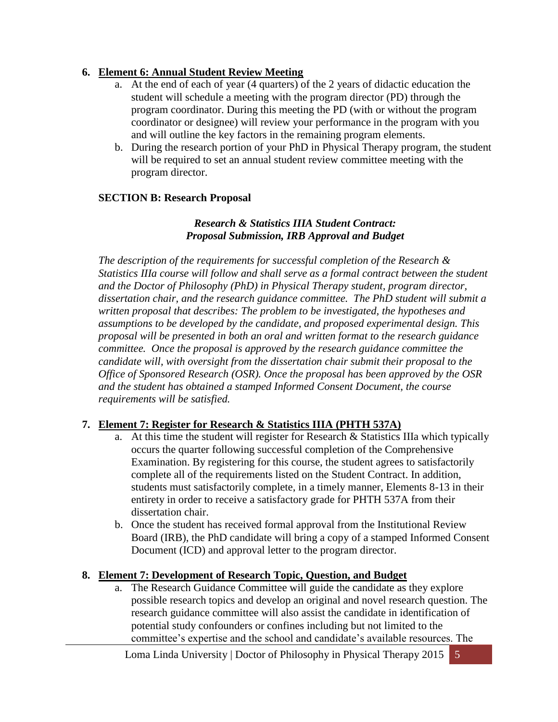### **6. Element 6: Annual Student Review Meeting**

- a. At the end of each of year (4 quarters) of the 2 years of didactic education the student will schedule a meeting with the program director (PD) through the program coordinator. During this meeting the PD (with or without the program coordinator or designee) will review your performance in the program with you and will outline the key factors in the remaining program elements.
- b. During the research portion of your PhD in Physical Therapy program, the student will be required to set an annual student review committee meeting with the program director.

### **SECTION B: Research Proposal**

#### *Research & Statistics IIIA Student Contract: Proposal Submission, IRB Approval and Budget*

*The description of the requirements for successful completion of the Research & Statistics IIIa course will follow and shall serve as a formal contract between the student and the Doctor of Philosophy (PhD) in Physical Therapy student, program director, dissertation chair, and the research guidance committee. The PhD student will submit a written proposal that describes: The problem to be investigated, the hypotheses and assumptions to be developed by the candidate, and proposed experimental design. This proposal will be presented in both an oral and written format to the research guidance committee. Once the proposal is approved by the research guidance committee the candidate will, with oversight from the dissertation chair submit their proposal to the Office of Sponsored Research (OSR). Once the proposal has been approved by the OSR and the student has obtained a stamped Informed Consent Document, the course requirements will be satisfied.*

## **7. Element 7: Register for Research & Statistics IIIA (PHTH 537A)**

- a. At this time the student will register for Research & Statistics IIIa which typically occurs the quarter following successful completion of the Comprehensive Examination. By registering for this course, the student agrees to satisfactorily complete all of the requirements listed on the Student Contract. In addition, students must satisfactorily complete, in a timely manner, Elements 8-13 in their entirety in order to receive a satisfactory grade for PHTH 537A from their dissertation chair.
- b. Once the student has received formal approval from the Institutional Review Board (IRB), the PhD candidate will bring a copy of a stamped Informed Consent Document (ICD) and approval letter to the program director.

#### **8. Element 7: Development of Research Topic, Question, and Budget**

a. The Research Guidance Committee will guide the candidate as they explore possible research topics and develop an original and novel research question. The research guidance committee will also assist the candidate in identification of potential study confounders or confines including but not limited to the committee's expertise and the school and candidate's available resources. The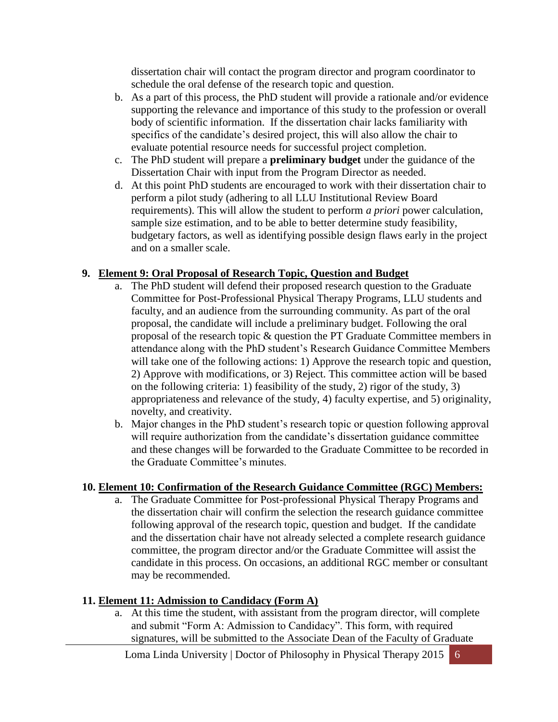dissertation chair will contact the program director and program coordinator to schedule the oral defense of the research topic and question.

- b. As a part of this process, the PhD student will provide a rationale and/or evidence supporting the relevance and importance of this study to the profession or overall body of scientific information. If the dissertation chair lacks familiarity with specifics of the candidate's desired project, this will also allow the chair to evaluate potential resource needs for successful project completion.
- c. The PhD student will prepare a **preliminary budget** under the guidance of the Dissertation Chair with input from the Program Director as needed.
- d. At this point PhD students are encouraged to work with their dissertation chair to perform a pilot study (adhering to all LLU Institutional Review Board requirements). This will allow the student to perform *a priori* power calculation, sample size estimation, and to be able to better determine study feasibility, budgetary factors, as well as identifying possible design flaws early in the project and on a smaller scale.

## **9. Element 9: Oral Proposal of Research Topic, Question and Budget**

- a. The PhD student will defend their proposed research question to the Graduate Committee for Post-Professional Physical Therapy Programs, LLU students and faculty, and an audience from the surrounding community. As part of the oral proposal, the candidate will include a preliminary budget. Following the oral proposal of the research topic & question the PT Graduate Committee members in attendance along with the PhD student's Research Guidance Committee Members will take one of the following actions: 1) Approve the research topic and question, 2) Approve with modifications, or 3) Reject. This committee action will be based on the following criteria: 1) feasibility of the study, 2) rigor of the study, 3) appropriateness and relevance of the study, 4) faculty expertise, and 5) originality, novelty, and creativity.
- b. Major changes in the PhD student's research topic or question following approval will require authorization from the candidate's dissertation guidance committee and these changes will be forwarded to the Graduate Committee to be recorded in the Graduate Committee's minutes.

## **10. Element 10: Confirmation of the Research Guidance Committee (RGC) Members:**

a. The Graduate Committee for Post-professional Physical Therapy Programs and the dissertation chair will confirm the selection the research guidance committee following approval of the research topic, question and budget. If the candidate and the dissertation chair have not already selected a complete research guidance committee, the program director and/or the Graduate Committee will assist the candidate in this process. On occasions, an additional RGC member or consultant may be recommended.

## **11. Element 11: Admission to Candidacy (Form A)**

a. At this time the student, with assistant from the program director, will complete and submit "Form A: Admission to Candidacy". This form, with required signatures, will be submitted to the Associate Dean of the Faculty of Graduate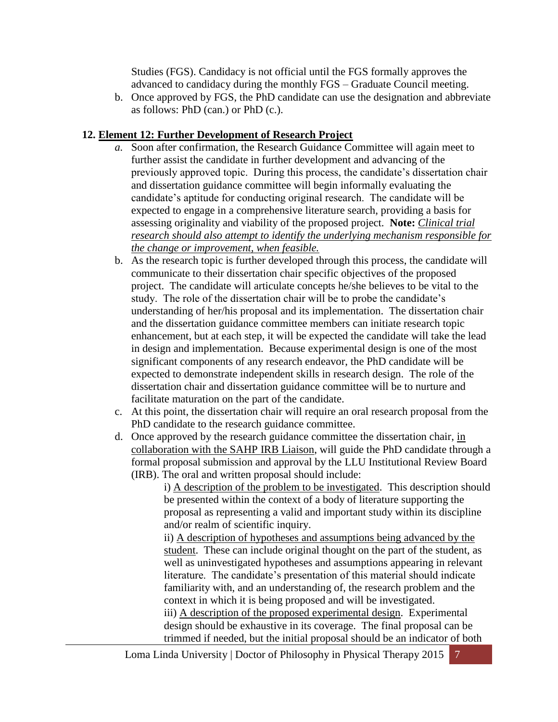Studies (FGS). Candidacy is not official until the FGS formally approves the advanced to candidacy during the monthly FGS – Graduate Council meeting.

b. Once approved by FGS, the PhD candidate can use the designation and abbreviate as follows: PhD (can.) or PhD (c.).

## **12. Element 12: Further Development of Research Project**

- *a.* Soon after confirmation, the Research Guidance Committee will again meet to further assist the candidate in further development and advancing of the previously approved topic. During this process, the candidate's dissertation chair and dissertation guidance committee will begin informally evaluating the candidate's aptitude for conducting original research. The candidate will be expected to engage in a comprehensive literature search, providing a basis for assessing originality and viability of the proposed project. **Note:** *Clinical trial research should also attempt to identify the underlying mechanism responsible for the change or improvement, when feasible.*
- b. As the research topic is further developed through this process, the candidate will communicate to their dissertation chair specific objectives of the proposed project. The candidate will articulate concepts he/she believes to be vital to the study. The role of the dissertation chair will be to probe the candidate's understanding of her/his proposal and its implementation. The dissertation chair and the dissertation guidance committee members can initiate research topic enhancement, but at each step, it will be expected the candidate will take the lead in design and implementation. Because experimental design is one of the most significant components of any research endeavor, the PhD candidate will be expected to demonstrate independent skills in research design. The role of the dissertation chair and dissertation guidance committee will be to nurture and facilitate maturation on the part of the candidate.
- c. At this point, the dissertation chair will require an oral research proposal from the PhD candidate to the research guidance committee.
- d. Once approved by the research guidance committee the dissertation chair, in collaboration with the SAHP IRB Liaison, will guide the PhD candidate through a formal proposal submission and approval by the LLU Institutional Review Board (IRB). The oral and written proposal should include:

i) A description of the problem to be investigated. This description should be presented within the context of a body of literature supporting the proposal as representing a valid and important study within its discipline and/or realm of scientific inquiry.

ii) A description of hypotheses and assumptions being advanced by the student. These can include original thought on the part of the student, as well as uninvestigated hypotheses and assumptions appearing in relevant literature. The candidate's presentation of this material should indicate familiarity with, and an understanding of, the research problem and the context in which it is being proposed and will be investigated. iii) A description of the proposed experimental design. Experimental design should be exhaustive in its coverage. The final proposal can be trimmed if needed, but the initial proposal should be an indicator of both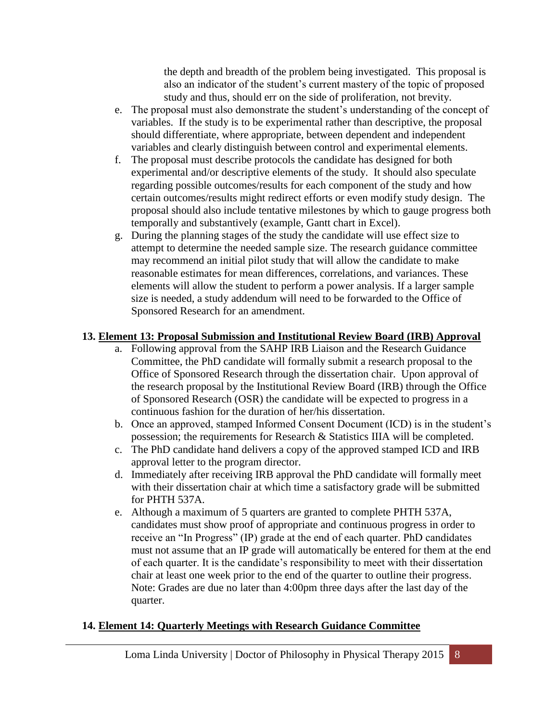the depth and breadth of the problem being investigated. This proposal is also an indicator of the student's current mastery of the topic of proposed study and thus, should err on the side of proliferation, not brevity.

- e. The proposal must also demonstrate the student's understanding of the concept of variables. If the study is to be experimental rather than descriptive, the proposal should differentiate, where appropriate, between dependent and independent variables and clearly distinguish between control and experimental elements.
- f. The proposal must describe protocols the candidate has designed for both experimental and/or descriptive elements of the study. It should also speculate regarding possible outcomes/results for each component of the study and how certain outcomes/results might redirect efforts or even modify study design. The proposal should also include tentative milestones by which to gauge progress both temporally and substantively (example, Gantt chart in Excel).
- g. During the planning stages of the study the candidate will use effect size to attempt to determine the needed sample size. The research guidance committee may recommend an initial pilot study that will allow the candidate to make reasonable estimates for mean differences, correlations, and variances. These elements will allow the student to perform a power analysis. If a larger sample size is needed, a study addendum will need to be forwarded to the Office of Sponsored Research for an amendment.

### **13. Element 13: Proposal Submission and Institutional Review Board (IRB) Approval**

- a. Following approval from the SAHP IRB Liaison and the Research Guidance Committee, the PhD candidate will formally submit a research proposal to the Office of Sponsored Research through the dissertation chair. Upon approval of the research proposal by the Institutional Review Board (IRB) through the Office of Sponsored Research (OSR) the candidate will be expected to progress in a continuous fashion for the duration of her/his dissertation.
- b. Once an approved, stamped Informed Consent Document (ICD) is in the student's possession; the requirements for Research & Statistics IIIA will be completed.
- c. The PhD candidate hand delivers a copy of the approved stamped ICD and IRB approval letter to the program director.
- d. Immediately after receiving IRB approval the PhD candidate will formally meet with their dissertation chair at which time a satisfactory grade will be submitted for PHTH 537A.
- e. Although a maximum of 5 quarters are granted to complete PHTH 537A, candidates must show proof of appropriate and continuous progress in order to receive an "In Progress" (IP) grade at the end of each quarter. PhD candidates must not assume that an IP grade will automatically be entered for them at the end of each quarter. It is the candidate's responsibility to meet with their dissertation chair at least one week prior to the end of the quarter to outline their progress. Note: Grades are due no later than 4:00pm three days after the last day of the quarter.

#### **14. Element 14: Quarterly Meetings with Research Guidance Committee**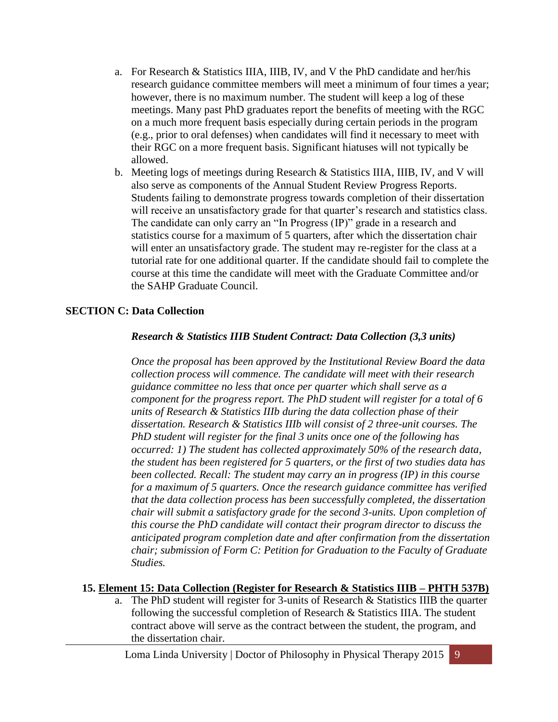- a. For Research & Statistics IIIA, IIIB, IV, and V the PhD candidate and her/his research guidance committee members will meet a minimum of four times a year; however, there is no maximum number. The student will keep a log of these meetings. Many past PhD graduates report the benefits of meeting with the RGC on a much more frequent basis especially during certain periods in the program (e.g., prior to oral defenses) when candidates will find it necessary to meet with their RGC on a more frequent basis. Significant hiatuses will not typically be allowed.
- b. Meeting logs of meetings during Research & Statistics IIIA, IIIB, IV, and V will also serve as components of the Annual Student Review Progress Reports. Students failing to demonstrate progress towards completion of their dissertation will receive an unsatisfactory grade for that quarter's research and statistics class. The candidate can only carry an "In Progress (IP)" grade in a research and statistics course for a maximum of 5 quarters, after which the dissertation chair will enter an unsatisfactory grade. The student may re-register for the class at a tutorial rate for one additional quarter. If the candidate should fail to complete the course at this time the candidate will meet with the Graduate Committee and/or the SAHP Graduate Council.

#### **SECTION C: Data Collection**

#### *Research & Statistics IIIB Student Contract: Data Collection (3,3 units)*

*Once the proposal has been approved by the Institutional Review Board the data collection process will commence. The candidate will meet with their research guidance committee no less that once per quarter which shall serve as a component for the progress report. The PhD student will register for a total of 6 units of Research & Statistics IIIb during the data collection phase of their dissertation. Research & Statistics IIIb will consist of 2 three-unit courses. The PhD student will register for the final 3 units once one of the following has occurred: 1) The student has collected approximately 50% of the research data, the student has been registered for 5 quarters, or the first of two studies data has been collected. Recall: The student may carry an in progress (IP) in this course for a maximum of 5 quarters. Once the research guidance committee has verified that the data collection process has been successfully completed, the dissertation chair will submit a satisfactory grade for the second 3-units. Upon completion of this course the PhD candidate will contact their program director to discuss the anticipated program completion date and after confirmation from the dissertation chair; submission of Form C: Petition for Graduation to the Faculty of Graduate Studies.*

#### **15. Element 15: Data Collection (Register for Research & Statistics IIIB – PHTH 537B)**

a. The PhD student will register for 3-units of Research & Statistics IIIB the quarter following the successful completion of Research & Statistics IIIA. The student contract above will serve as the contract between the student, the program, and the dissertation chair.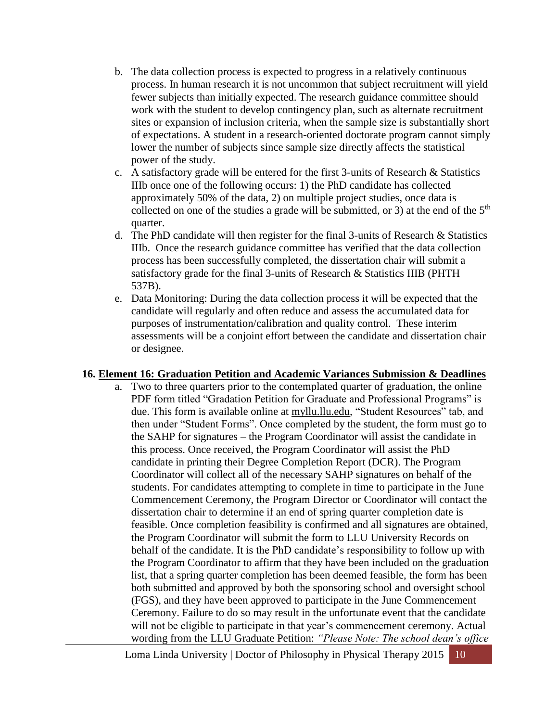- b. The data collection process is expected to progress in a relatively continuous process. In human research it is not uncommon that subject recruitment will yield fewer subjects than initially expected. The research guidance committee should work with the student to develop contingency plan, such as alternate recruitment sites or expansion of inclusion criteria, when the sample size is substantially short of expectations. A student in a research-oriented doctorate program cannot simply lower the number of subjects since sample size directly affects the statistical power of the study.
- c. A satisfactory grade will be entered for the first 3-units of Research & Statistics IIIb once one of the following occurs: 1) the PhD candidate has collected approximately 50% of the data, 2) on multiple project studies, once data is collected on one of the studies a grade will be submitted, or 3) at the end of the  $5<sup>th</sup>$ quarter.
- d. The PhD candidate will then register for the final 3-units of Research & Statistics IIIb. Once the research guidance committee has verified that the data collection process has been successfully completed, the dissertation chair will submit a satisfactory grade for the final 3-units of Research & Statistics IIIB (PHTH 537B).
- e. Data Monitoring: During the data collection process it will be expected that the candidate will regularly and often reduce and assess the accumulated data for purposes of instrumentation/calibration and quality control. These interim assessments will be a conjoint effort between the candidate and dissertation chair or designee.

#### **16. Element 16: Graduation Petition and Academic Variances Submission & Deadlines**

a. Two to three quarters prior to the contemplated quarter of graduation, the online PDF form titled "Gradation Petition for Graduate and Professional Programs" is due. This form is available online at myllu.llu.edu, "Student Resources" tab, and then under "Student Forms". Once completed by the student, the form must go to the SAHP for signatures – the Program Coordinator will assist the candidate in this process. Once received, the Program Coordinator will assist the PhD candidate in printing their Degree Completion Report (DCR). The Program Coordinator will collect all of the necessary SAHP signatures on behalf of the students. For candidates attempting to complete in time to participate in the June Commencement Ceremony, the Program Director or Coordinator will contact the dissertation chair to determine if an end of spring quarter completion date is feasible. Once completion feasibility is confirmed and all signatures are obtained, the Program Coordinator will submit the form to LLU University Records on behalf of the candidate. It is the PhD candidate's responsibility to follow up with the Program Coordinator to affirm that they have been included on the graduation list, that a spring quarter completion has been deemed feasible, the form has been both submitted and approved by both the sponsoring school and oversight school (FGS), and they have been approved to participate in the June Commencement Ceremony. Failure to do so may result in the unfortunate event that the candidate will not be eligible to participate in that year's commencement ceremony. Actual wording from the LLU Graduate Petition: *"Please Note: The school dean's office*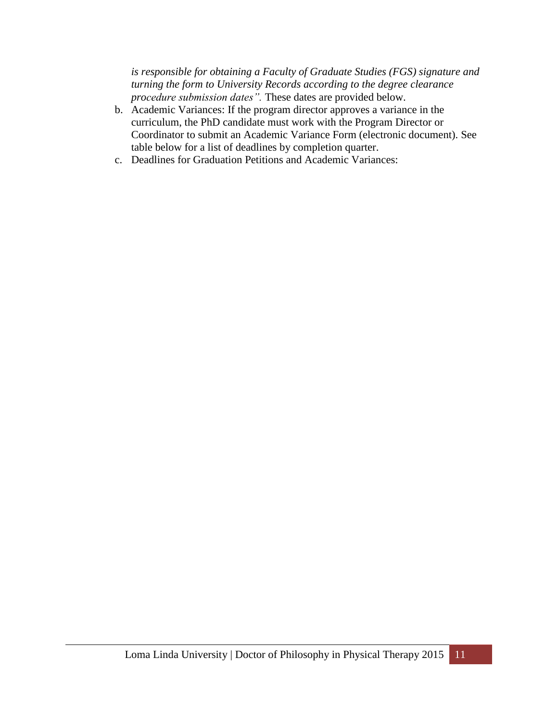*is responsible for obtaining a Faculty of Graduate Studies (FGS) signature and turning the form to University Records according to the degree clearance procedure submission dates".* These dates are provided below.

- b. Academic Variances: If the program director approves a variance in the curriculum, the PhD candidate must work with the Program Director or Coordinator to submit an Academic Variance Form (electronic document). See table below for a list of deadlines by completion quarter.
- c. Deadlines for Graduation Petitions and Academic Variances: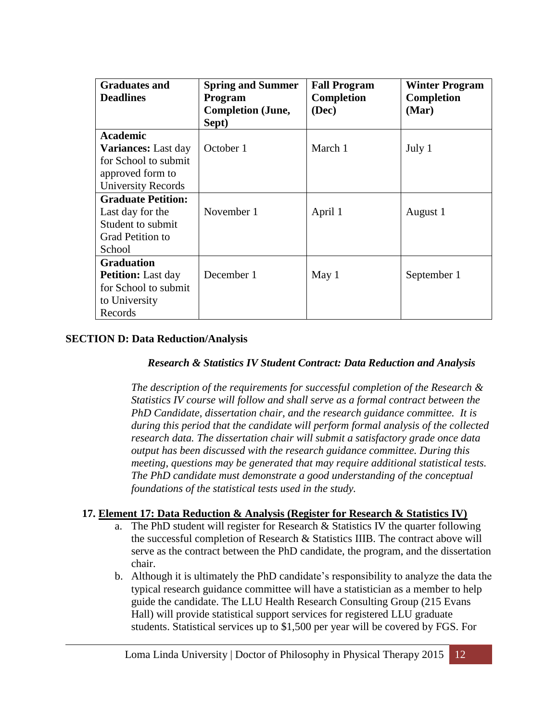| <b>Graduates and</b>       | <b>Spring and Summer</b> | <b>Fall Program</b> | <b>Winter Program</b> |
|----------------------------|--------------------------|---------------------|-----------------------|
| <b>Deadlines</b>           | <b>Program</b>           | Completion          | <b>Completion</b>     |
|                            | <b>Completion (June,</b> | (Dec)               | (Mar)                 |
|                            | Sept)                    |                     |                       |
| <b>Academic</b>            |                          |                     |                       |
| <b>Variances:</b> Last day | October 1                | March 1             | July 1                |
| for School to submit       |                          |                     |                       |
| approved form to           |                          |                     |                       |
| <b>University Records</b>  |                          |                     |                       |
| <b>Graduate Petition:</b>  |                          |                     |                       |
| Last day for the           | November 1               | April 1             | August 1              |
| Student to submit          |                          |                     |                       |
| <b>Grad Petition to</b>    |                          |                     |                       |
| School                     |                          |                     |                       |
| <b>Graduation</b>          |                          |                     |                       |
| <b>Petition:</b> Last day  | December 1               | May 1               | September 1           |
| for School to submit       |                          |                     |                       |
| to University              |                          |                     |                       |
| Records                    |                          |                     |                       |

### **SECTION D: Data Reduction/Analysis**

#### *Research & Statistics IV Student Contract: Data Reduction and Analysis*

*The description of the requirements for successful completion of the Research & Statistics IV course will follow and shall serve as a formal contract between the PhD Candidate, dissertation chair, and the research guidance committee. It is during this period that the candidate will perform formal analysis of the collected research data. The dissertation chair will submit a satisfactory grade once data output has been discussed with the research guidance committee. During this meeting, questions may be generated that may require additional statistical tests. The PhD candidate must demonstrate a good understanding of the conceptual foundations of the statistical tests used in the study.*

## **17. Element 17: Data Reduction & Analysis (Register for Research & Statistics IV)**

- a. The PhD student will register for Research & Statistics IV the quarter following the successful completion of Research & Statistics IIIB. The contract above will serve as the contract between the PhD candidate, the program, and the dissertation chair.
- b. Although it is ultimately the PhD candidate's responsibility to analyze the data the typical research guidance committee will have a statistician as a member to help guide the candidate. The LLU Health Research Consulting Group (215 Evans Hall) will provide statistical support services for registered LLU graduate students. Statistical services up to \$1,500 per year will be covered by FGS. For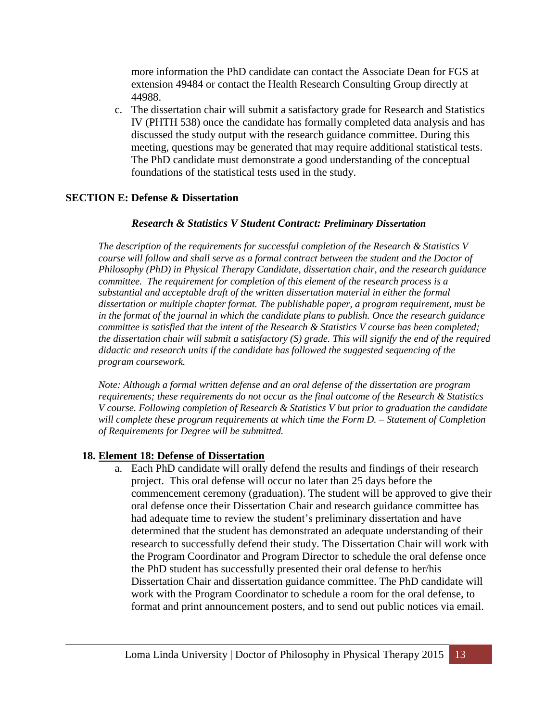more information the PhD candidate can contact the Associate Dean for FGS at extension 49484 or contact the Health Research Consulting Group directly at 44988.

c. The dissertation chair will submit a satisfactory grade for Research and Statistics IV (PHTH 538) once the candidate has formally completed data analysis and has discussed the study output with the research guidance committee. During this meeting, questions may be generated that may require additional statistical tests. The PhD candidate must demonstrate a good understanding of the conceptual foundations of the statistical tests used in the study.

#### **SECTION E: Defense & Dissertation**

#### *Research & Statistics V Student Contract: Preliminary Dissertation*

*The description of the requirements for successful completion of the Research & Statistics V course will follow and shall serve as a formal contract between the student and the Doctor of Philosophy (PhD) in Physical Therapy Candidate, dissertation chair, and the research guidance committee. The requirement for completion of this element of the research process is a substantial and acceptable draft of the written dissertation material in either the formal dissertation or multiple chapter format. The publishable paper, a program requirement, must be in the format of the journal in which the candidate plans to publish. Once the research guidance committee is satisfied that the intent of the Research & Statistics V course has been completed; the dissertation chair will submit a satisfactory (S) grade. This will signify the end of the required didactic and research units if the candidate has followed the suggested sequencing of the program coursework.*

*Note: Although a formal written defense and an oral defense of the dissertation are program requirements; these requirements do not occur as the final outcome of the Research & Statistics V course. Following completion of Research & Statistics V but prior to graduation the candidate will complete these program requirements at which time the Form D. – Statement of Completion of Requirements for Degree will be submitted.*

#### **18. Element 18: Defense of Dissertation**

a. Each PhD candidate will orally defend the results and findings of their research project. This oral defense will occur no later than 25 days before the commencement ceremony (graduation). The student will be approved to give their oral defense once their Dissertation Chair and research guidance committee has had adequate time to review the student's preliminary dissertation and have determined that the student has demonstrated an adequate understanding of their research to successfully defend their study. The Dissertation Chair will work with the Program Coordinator and Program Director to schedule the oral defense once the PhD student has successfully presented their oral defense to her/his Dissertation Chair and dissertation guidance committee. The PhD candidate will work with the Program Coordinator to schedule a room for the oral defense, to format and print announcement posters, and to send out public notices via email.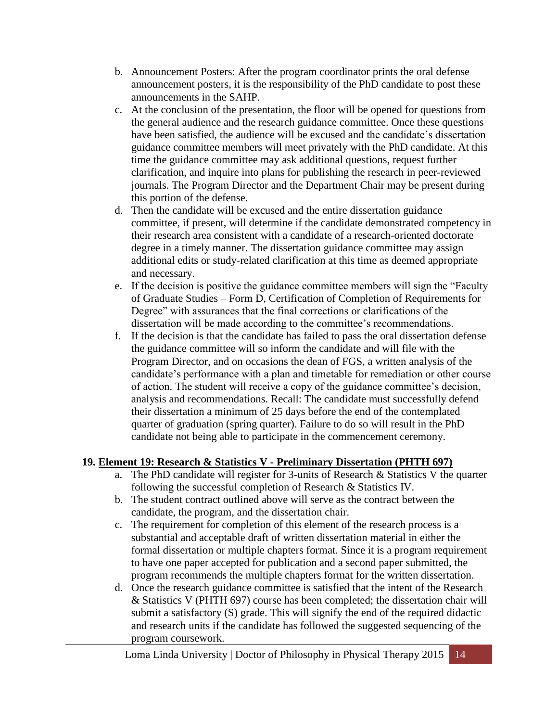- b. Announcement Posters: After the program coordinator prints the oral defense announcement posters, it is the responsibility of the PhD candidate to post these announcements in the SAHP.
- c. At the conclusion of the presentation, the floor will be opened for questions from the general audience and the research guidance committee. Once these questions have been satisfied, the audience will be excused and the candidate's dissertation guidance committee members will meet privately with the PhD candidate. At this time the guidance committee may ask additional questions, request further clarification, and inquire into plans for publishing the research in peer-reviewed journals. The Program Director and the Department Chair may be present during this portion of the defense.
- d. Then the candidate will be excused and the entire dissertation guidance committee, if present, will determine if the candidate demonstrated competency in their research area consistent with a candidate of a research-oriented doctorate degree in a timely manner. The dissertation guidance committee may assign additional edits or study-related clarification at this time as deemed appropriate and necessary.
- e. If the decision is positive the guidance committee members will sign the "Faculty of Graduate Studies – Form D, Certification of Completion of Requirements for Degree" with assurances that the final corrections or clarifications of the dissertation will be made according to the committee's recommendations.
- f. If the decision is that the candidate has failed to pass the oral dissertation defense the guidance committee will so inform the candidate and will file with the Program Director, and on occasions the dean of FGS, a written analysis of the candidate's performance with a plan and timetable for remediation or other course of action. The student will receive a copy of the guidance committee's decision, analysis and recommendations. Recall: The candidate must successfully defend their dissertation a minimum of 25 days before the end of the contemplated quarter of graduation (spring quarter). Failure to do so will result in the PhD candidate not being able to participate in the commencement ceremony.

## **19. Element 19: Research & Statistics V - Preliminary Dissertation (PHTH 697)**

- a. The PhD candidate will register for 3-units of Research & Statistics V the quarter following the successful completion of Research & Statistics IV.
- b. The student contract outlined above will serve as the contract between the candidate, the program, and the dissertation chair.
- c. The requirement for completion of this element of the research process is a substantial and acceptable draft of written dissertation material in either the formal dissertation or multiple chapters format. Since it is a program requirement to have one paper accepted for publication and a second paper submitted, the program recommends the multiple chapters format for the written dissertation.
- d. Once the research guidance committee is satisfied that the intent of the Research & Statistics V (PHTH 697) course has been completed; the dissertation chair will submit a satisfactory (S) grade. This will signify the end of the required didactic and research units if the candidate has followed the suggested sequencing of the program coursework.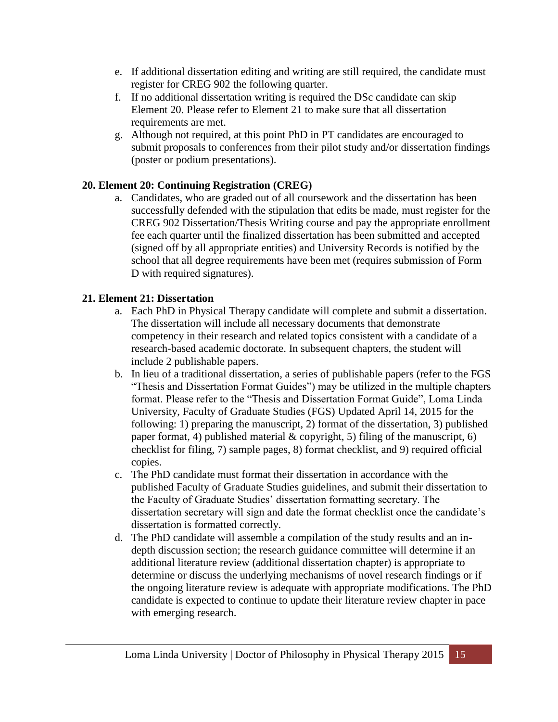- e. If additional dissertation editing and writing are still required, the candidate must register for CREG 902 the following quarter.
- f. If no additional dissertation writing is required the DSc candidate can skip Element 20. Please refer to Element 21 to make sure that all dissertation requirements are met.
- g. Although not required, at this point PhD in PT candidates are encouraged to submit proposals to conferences from their pilot study and/or dissertation findings (poster or podium presentations).

## **20. Element 20: Continuing Registration (CREG)**

a. Candidates, who are graded out of all coursework and the dissertation has been successfully defended with the stipulation that edits be made, must register for the CREG 902 Dissertation/Thesis Writing course and pay the appropriate enrollment fee each quarter until the finalized dissertation has been submitted and accepted (signed off by all appropriate entities) and University Records is notified by the school that all degree requirements have been met (requires submission of Form D with required signatures).

## **21. Element 21: Dissertation**

- a. Each PhD in Physical Therapy candidate will complete and submit a dissertation. The dissertation will include all necessary documents that demonstrate competency in their research and related topics consistent with a candidate of a research-based academic doctorate. In subsequent chapters, the student will include 2 publishable papers.
- b. In lieu of a traditional dissertation, a series of publishable papers (refer to the FGS "Thesis and Dissertation Format Guides") may be utilized in the multiple chapters format. Please refer to the "Thesis and Dissertation Format Guide", Loma Linda University, Faculty of Graduate Studies (FGS) Updated April 14, 2015 for the following: 1) preparing the manuscript, 2) format of the dissertation, 3) published paper format, 4) published material  $\&$  copyright, 5) filing of the manuscript, 6) checklist for filing, 7) sample pages, 8) format checklist, and 9) required official copies.
- c. The PhD candidate must format their dissertation in accordance with the published Faculty of Graduate Studies guidelines, and submit their dissertation to the Faculty of Graduate Studies' dissertation formatting secretary. The dissertation secretary will sign and date the format checklist once the candidate's dissertation is formatted correctly.
- d. The PhD candidate will assemble a compilation of the study results and an indepth discussion section; the research guidance committee will determine if an additional literature review (additional dissertation chapter) is appropriate to determine or discuss the underlying mechanisms of novel research findings or if the ongoing literature review is adequate with appropriate modifications. The PhD candidate is expected to continue to update their literature review chapter in pace with emerging research.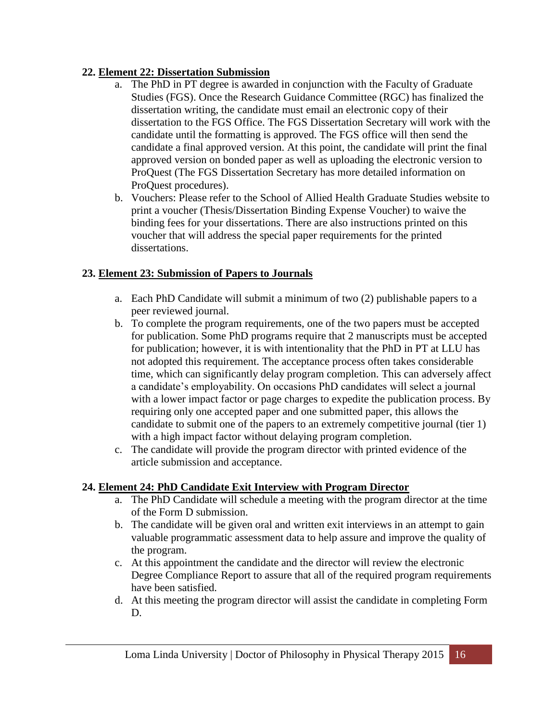## **22. Element 22: Dissertation Submission**

- a. The PhD in PT degree is awarded in conjunction with the Faculty of Graduate Studies (FGS). Once the Research Guidance Committee (RGC) has finalized the dissertation writing, the candidate must email an electronic copy of their dissertation to the FGS Office. The FGS Dissertation Secretary will work with the candidate until the formatting is approved. The FGS office will then send the candidate a final approved version. At this point, the candidate will print the final approved version on bonded paper as well as uploading the electronic version to ProQuest (The FGS Dissertation Secretary has more detailed information on ProQuest procedures).
- b. Vouchers: Please refer to the School of Allied Health Graduate Studies website to print a voucher (Thesis/Dissertation Binding Expense Voucher) to waive the binding fees for your dissertations. There are also instructions printed on this voucher that will address the special paper requirements for the printed dissertations.

## **23. Element 23: Submission of Papers to Journals**

- a. Each PhD Candidate will submit a minimum of two (2) publishable papers to a peer reviewed journal.
- b. To complete the program requirements, one of the two papers must be accepted for publication. Some PhD programs require that 2 manuscripts must be accepted for publication; however, it is with intentionality that the PhD in PT at LLU has not adopted this requirement. The acceptance process often takes considerable time, which can significantly delay program completion. This can adversely affect a candidate's employability. On occasions PhD candidates will select a journal with a lower impact factor or page charges to expedite the publication process. By requiring only one accepted paper and one submitted paper, this allows the candidate to submit one of the papers to an extremely competitive journal (tier 1) with a high impact factor without delaying program completion.
- c. The candidate will provide the program director with printed evidence of the article submission and acceptance.

## **24. Element 24: PhD Candidate Exit Interview with Program Director**

- a. The PhD Candidate will schedule a meeting with the program director at the time of the Form D submission.
- b. The candidate will be given oral and written exit interviews in an attempt to gain valuable programmatic assessment data to help assure and improve the quality of the program.
- c. At this appointment the candidate and the director will review the electronic Degree Compliance Report to assure that all of the required program requirements have been satisfied.
- d. At this meeting the program director will assist the candidate in completing Form D.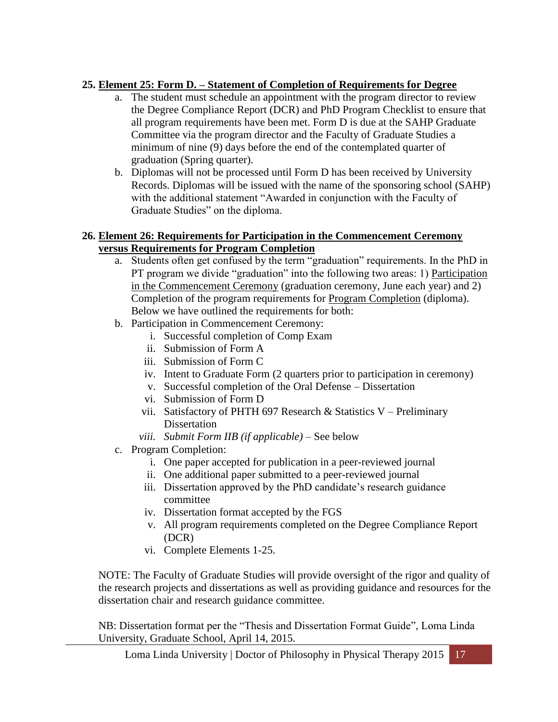## **25. Element 25: Form D. – Statement of Completion of Requirements for Degree**

- a. The student must schedule an appointment with the program director to review the Degree Compliance Report (DCR) and PhD Program Checklist to ensure that all program requirements have been met. Form D is due at the SAHP Graduate Committee via the program director and the Faculty of Graduate Studies a minimum of nine (9) days before the end of the contemplated quarter of graduation (Spring quarter).
- b. Diplomas will not be processed until Form D has been received by University Records. Diplomas will be issued with the name of the sponsoring school (SAHP) with the additional statement "Awarded in conjunction with the Faculty of Graduate Studies" on the diploma.

## **26. Element 26: Requirements for Participation in the Commencement Ceremony versus Requirements for Program Completion**

- a. Students often get confused by the term "graduation" requirements. In the PhD in PT program we divide "graduation" into the following two areas: 1) Participation in the Commencement Ceremony (graduation ceremony, June each year) and 2) Completion of the program requirements for Program Completion (diploma). Below we have outlined the requirements for both:
- b. Participation in Commencement Ceremony:
	- i. Successful completion of Comp Exam
	- ii. Submission of Form A
	- iii. Submission of Form C
	- iv. Intent to Graduate Form (2 quarters prior to participation in ceremony)
	- v. Successful completion of the Oral Defense Dissertation
	- vi. Submission of Form D
	- vii. Satisfactory of PHTH 697 Research & Statistics V Preliminary **Dissertation**
	- *viii. Submit Form IIB (if applicable)* See below
- c. Program Completion:
	- i. One paper accepted for publication in a peer-reviewed journal
	- ii. One additional paper submitted to a peer-reviewed journal
	- iii. Dissertation approved by the PhD candidate's research guidance committee
	- iv. Dissertation format accepted by the FGS
	- v. All program requirements completed on the Degree Compliance Report (DCR)
	- vi. Complete Elements 1-25.

NOTE: The Faculty of Graduate Studies will provide oversight of the rigor and quality of the research projects and dissertations as well as providing guidance and resources for the dissertation chair and research guidance committee.

NB: Dissertation format per the "Thesis and Dissertation Format Guide", Loma Linda University, Graduate School, April 14, 2015.